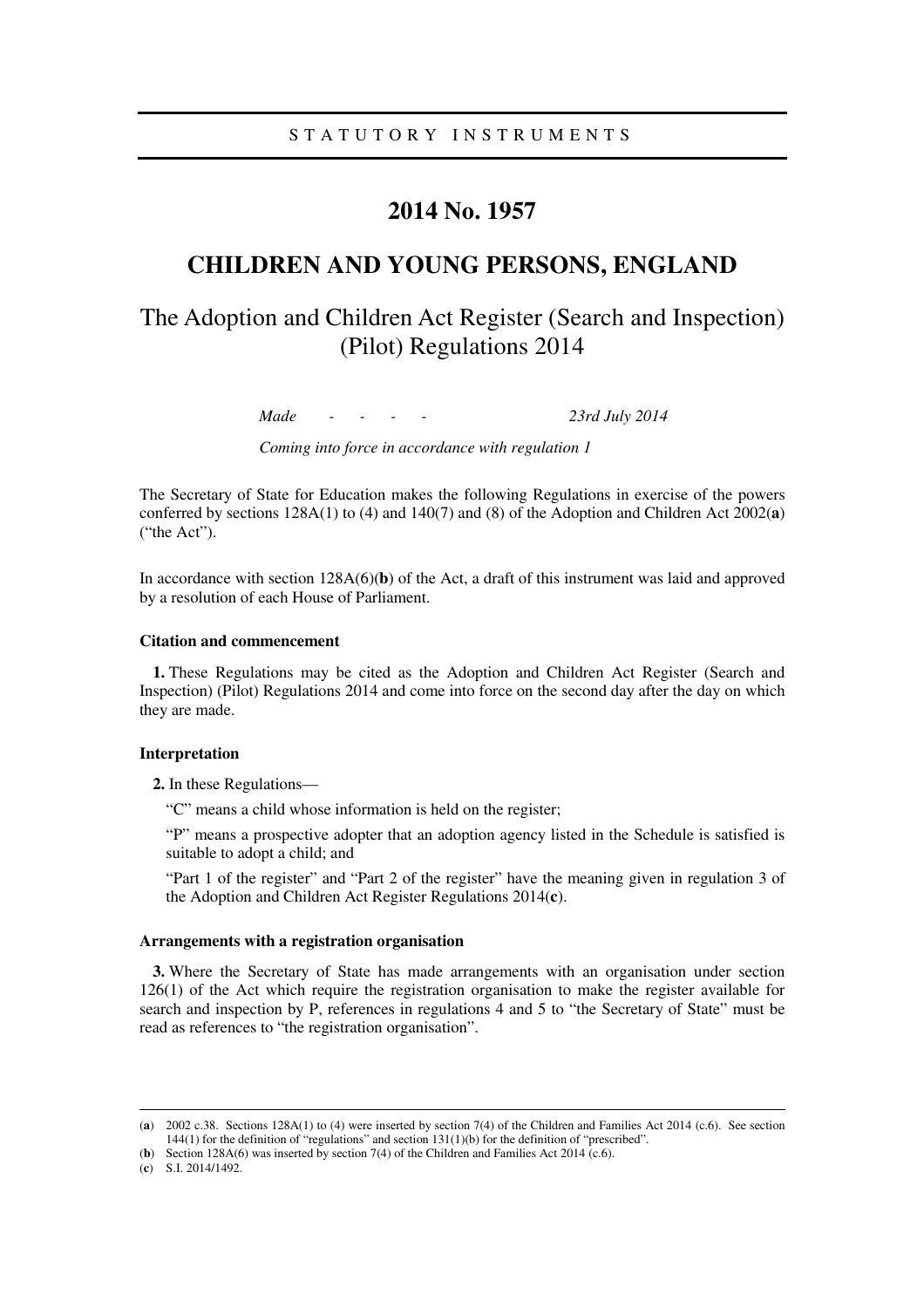# **2014 No. 1957**

# **CHILDREN AND YOUNG PERSONS, ENGLAND**

# The Adoption and Children Act Register (Search and Inspection) (Pilot) Regulations 2014

*Made - - - - 23rd July 2014* 

*Coming into force in accordance with regulation 1* 

The Secretary of State for Education makes the following Regulations in exercise of the powers conferred by sections 128A(1) to (4) and 140(7) and (8) of the Adoption and Children Act 2002(**a**) ("the Act").

In accordance with section 128A(6)(**b**) of the Act, a draft of this instrument was laid and approved by a resolution of each House of Parliament.

### **Citation and commencement**

**1.** These Regulations may be cited as the Adoption and Children Act Register (Search and Inspection) (Pilot) Regulations 2014 and come into force on the second day after the day on which they are made.

### **Interpretation**

**2.** In these Regulations—

"C" means a child whose information is held on the register;

"P" means a prospective adopter that an adoption agency listed in the Schedule is satisfied is suitable to adopt a child; and

"Part 1 of the register" and "Part 2 of the register" have the meaning given in regulation 3 of the Adoption and Children Act Register Regulations 2014(**c**).

#### **Arrangements with a registration organisation**

**3.** Where the Secretary of State has made arrangements with an organisation under section 126(1) of the Act which require the registration organisation to make the register available for search and inspection by P, references in regulations 4 and 5 to "the Secretary of State" must be read as references to "the registration organisation".

<u>.</u>

<sup>(</sup>**a**) 2002 c.38. Sections 128A(1) to (4) were inserted by section 7(4) of the Children and Families Act 2014 (c.6). See section 144(1) for the definition of "regulations" and section 131(1)(b) for the definition of "prescribed".

<sup>(</sup>**b**) Section 128A(6) was inserted by section 7(4) of the Children and Families Act 2014 (c.6).

<sup>(</sup>**c**) S.I. 2014/1492.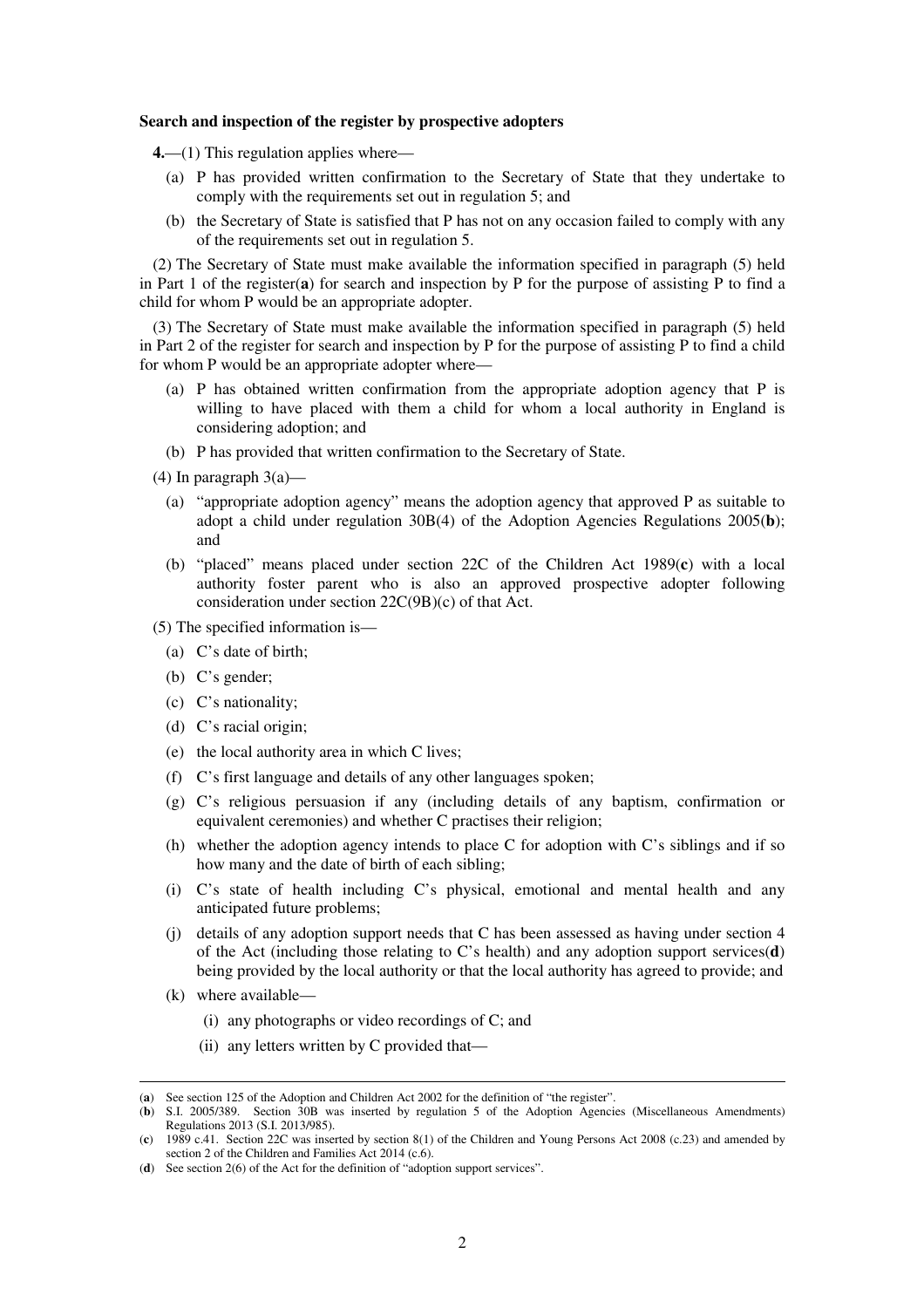#### **Search and inspection of the register by prospective adopters**

**4.**—(1) This regulation applies where—

- (a) P has provided written confirmation to the Secretary of State that they undertake to comply with the requirements set out in regulation 5; and
- (b) the Secretary of State is satisfied that P has not on any occasion failed to comply with any of the requirements set out in regulation 5.

(2) The Secretary of State must make available the information specified in paragraph (5) held in Part 1 of the register(**a**) for search and inspection by P for the purpose of assisting P to find a child for whom P would be an appropriate adopter.

(3) The Secretary of State must make available the information specified in paragraph (5) held in Part 2 of the register for search and inspection by P for the purpose of assisting P to find a child for whom P would be an appropriate adopter where—

- (a) P has obtained written confirmation from the appropriate adoption agency that P is willing to have placed with them a child for whom a local authority in England is considering adoption; and
- (b) P has provided that written confirmation to the Secretary of State.
- (4) In paragraph  $3(a)$ 
	- (a) "appropriate adoption agency" means the adoption agency that approved P as suitable to adopt a child under regulation 30B(4) of the Adoption Agencies Regulations 2005(**b**); and
	- (b) "placed" means placed under section 22C of the Children Act 1989(**c**) with a local authority foster parent who is also an approved prospective adopter following consideration under section 22C(9B)(c) of that Act.
- (5) The specified information is—
	- (a) C's date of birth;
	- (b) C's gender;
	- (c) C's nationality;
	- (d) C's racial origin;
	- (e) the local authority area in which C lives;
	- (f) C's first language and details of any other languages spoken;
	- (g) C's religious persuasion if any (including details of any baptism, confirmation or equivalent ceremonies) and whether C practises their religion;
	- (h) whether the adoption agency intends to place C for adoption with C's siblings and if so how many and the date of birth of each sibling;
	- (i) C's state of health including C's physical, emotional and mental health and any anticipated future problems;
	- (j) details of any adoption support needs that C has been assessed as having under section 4 of the Act (including those relating to C's health) and any adoption support services(**d**) being provided by the local authority or that the local authority has agreed to provide; and
	- (k) where available—

<u>.</u>

- (i) any photographs or video recordings of C; and
- (ii) any letters written by C provided that—

<sup>(</sup>**a**) See section 125 of the Adoption and Children Act 2002 for the definition of "the register".

<sup>(</sup>**b**) S.I. 2005/389. Section 30B was inserted by regulation 5 of the Adoption Agencies (Miscellaneous Amendments) Regulations 2013 (S.I. 2013/985).

<sup>(</sup>**c**) 1989 c.41. Section 22C was inserted by section 8(1) of the Children and Young Persons Act 2008 (c.23) and amended by section 2 of the Children and Families Act 2014 (c.6).

<sup>(</sup>**d**) See section 2(6) of the Act for the definition of "adoption support services".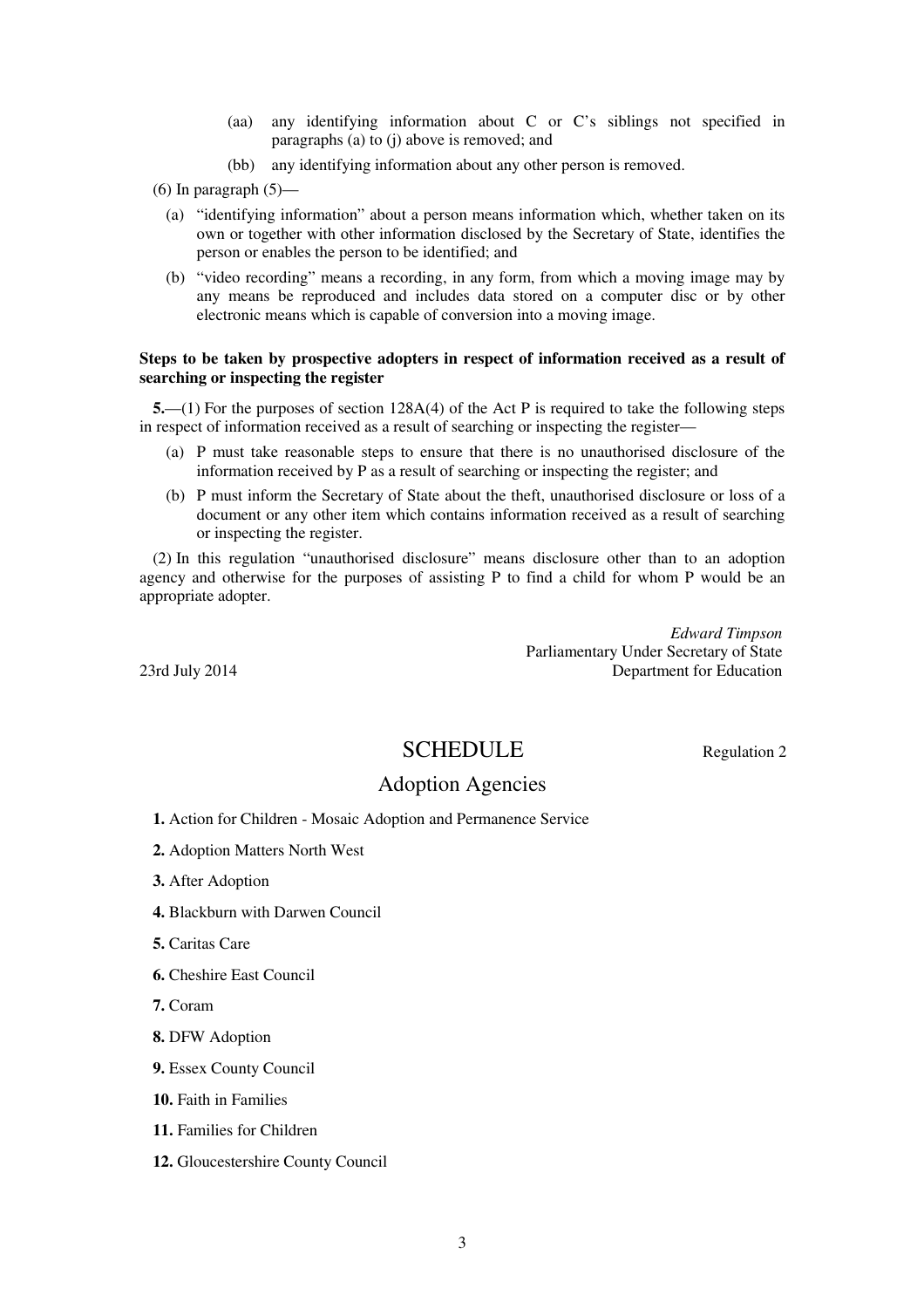- (aa) any identifying information about C or C's siblings not specified in paragraphs (a) to (j) above is removed; and
- (bb) any identifying information about any other person is removed.
- $(6)$  In paragraph  $(5)$ 
	- (a) "identifying information" about a person means information which, whether taken on its own or together with other information disclosed by the Secretary of State, identifies the person or enables the person to be identified; and
	- (b) "video recording" means a recording, in any form, from which a moving image may by any means be reproduced and includes data stored on a computer disc or by other electronic means which is capable of conversion into a moving image.

## **Steps to be taken by prospective adopters in respect of information received as a result of searching or inspecting the register**

**5.**—(1) For the purposes of section 128A(4) of the Act P is required to take the following steps in respect of information received as a result of searching or inspecting the register—

- (a) P must take reasonable steps to ensure that there is no unauthorised disclosure of the information received by P as a result of searching or inspecting the register; and
- (b) P must inform the Secretary of State about the theft, unauthorised disclosure or loss of a document or any other item which contains information received as a result of searching or inspecting the register.

(2) In this regulation "unauthorised disclosure" means disclosure other than to an adoption agency and otherwise for the purposes of assisting P to find a child for whom P would be an appropriate adopter.

*Edward Timpson*  Parliamentary Under Secretary of State 23rd July 2014 Department for Education

# SCHEDULE Regulation 2

# Adoption Agencies

- **1.** Action for Children Mosaic Adoption and Permanence Service
- **2.** Adoption Matters North West
- **3.** After Adoption
- **4.** Blackburn with Darwen Council
- **5.** Caritas Care
- **6.** Cheshire East Council

**7.** Coram

- **8.** DFW Adoption
- **9.** Essex County Council

**10.** Faith in Families

- **11.** Families for Children
- **12.** Gloucestershire County Council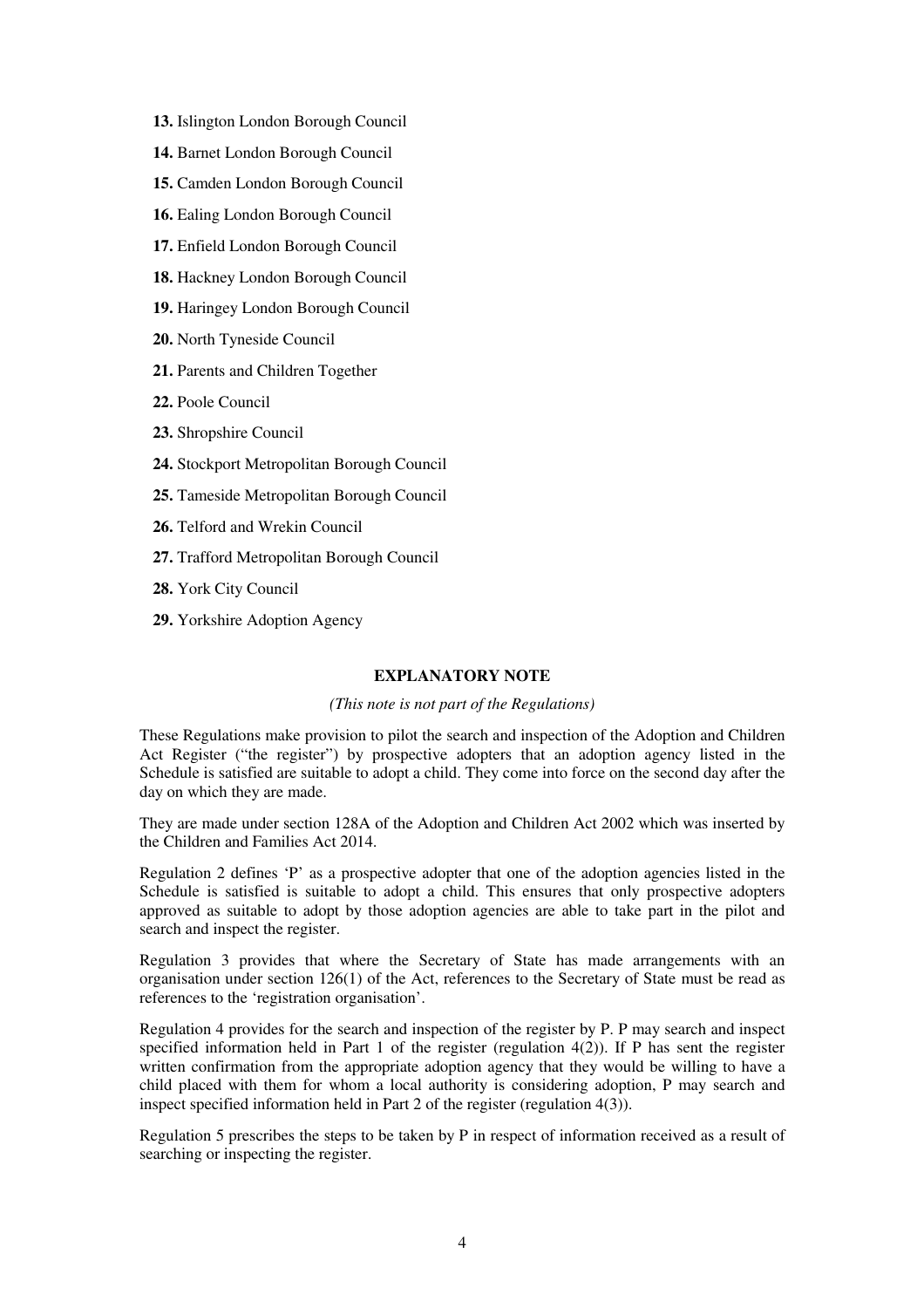- **13.** Islington London Borough Council
- **14.** Barnet London Borough Council
- **15.** Camden London Borough Council
- **16.** Ealing London Borough Council
- **17.** Enfield London Borough Council
- **18.** Hackney London Borough Council
- **19.** Haringey London Borough Council
- **20.** North Tyneside Council
- **21.** Parents and Children Together
- **22.** Poole Council
- **23.** Shropshire Council
- **24.** Stockport Metropolitan Borough Council
- **25.** Tameside Metropolitan Borough Council
- **26.** Telford and Wrekin Council
- **27.** Trafford Metropolitan Borough Council
- **28.** York City Council
- **29.** Yorkshire Adoption Agency

## **EXPLANATORY NOTE**

### *(This note is not part of the Regulations)*

These Regulations make provision to pilot the search and inspection of the Adoption and Children Act Register ("the register") by prospective adopters that an adoption agency listed in the Schedule is satisfied are suitable to adopt a child. They come into force on the second day after the day on which they are made.

They are made under section 128A of the Adoption and Children Act 2002 which was inserted by the Children and Families Act 2014.

Regulation 2 defines 'P' as a prospective adopter that one of the adoption agencies listed in the Schedule is satisfied is suitable to adopt a child. This ensures that only prospective adopters approved as suitable to adopt by those adoption agencies are able to take part in the pilot and search and inspect the register.

Regulation 3 provides that where the Secretary of State has made arrangements with an organisation under section 126(1) of the Act, references to the Secretary of State must be read as references to the 'registration organisation'.

Regulation 4 provides for the search and inspection of the register by P. P may search and inspect specified information held in Part 1 of the register (regulation  $4(2)$ ). If P has sent the register written confirmation from the appropriate adoption agency that they would be willing to have a child placed with them for whom a local authority is considering adoption, P may search and inspect specified information held in Part 2 of the register (regulation 4(3)).

Regulation 5 prescribes the steps to be taken by P in respect of information received as a result of searching or inspecting the register.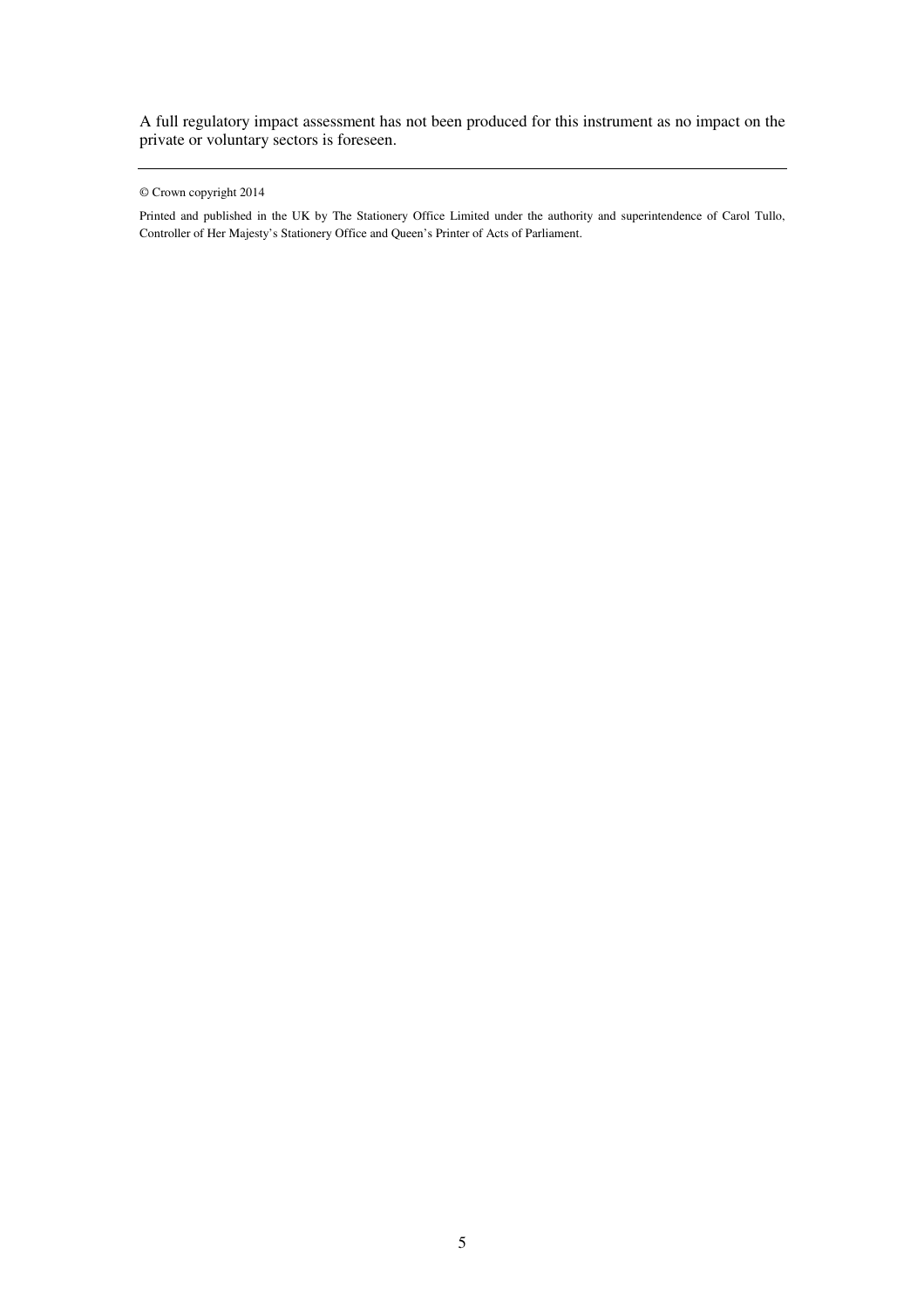A full regulatory impact assessment has not been produced for this instrument as no impact on the private or voluntary sectors is foreseen.

Printed and published in the UK by The Stationery Office Limited under the authority and superintendence of Carol Tullo, Controller of Her Majesty's Stationery Office and Queen's Printer of Acts of Parliament.

<sup>©</sup> Crown copyright 2014